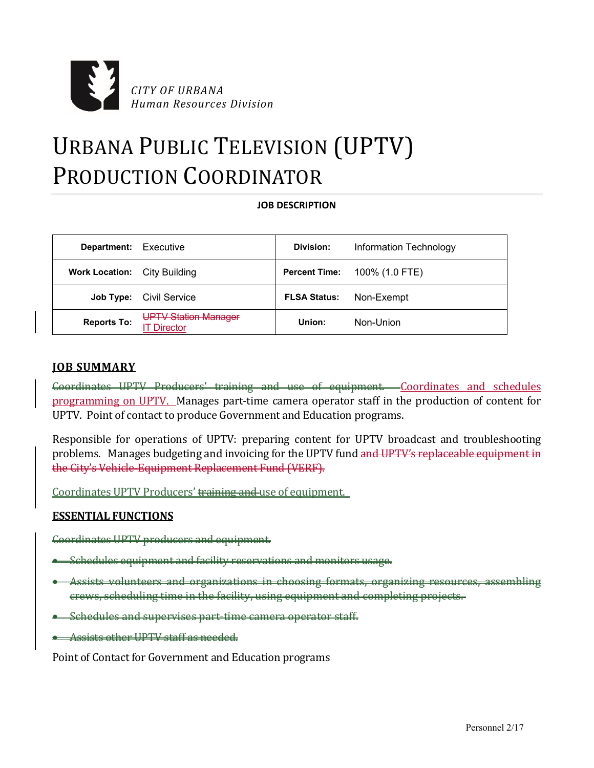

# URBANA PUBLIC TELEVISION (UPTV) PRODUCTION COORDINATOR

## **JOB DESCRIPTION**

| <b>Department:</b> Executive        |                                                | Division:            | Information Technology |
|-------------------------------------|------------------------------------------------|----------------------|------------------------|
| <b>Work Location:</b> City Building |                                                | <b>Percent Time:</b> | 100% (1.0 FTE)         |
| Job Type:                           | Civil Service                                  | <b>FLSA Status:</b>  | Non-Exempt             |
| <b>Reports To:</b>                  | <b>UPTV Station Manager</b><br><b>Director</b> | Union:               | Non-Union              |

## **JOB SUMMARY**

Coordinates UPTV Producers' training and use of equipment. Coordinates and schedules programming on UPTV. Manages part-time camera operator staff in the production of content for UPTV. Point of contact to produce Government and Education programs.

Responsible for operations of UPTV: preparing content for UPTV broadcast and troubleshooting problems. Manages budgeting and invoicing for the UPTV fund and UPTV's replaceable equipment in the City's Vehicle-Equipment Replacement Fund (VERF).

Coordinates UPTV Producers' training and use of equipment.

# **ESSENTIAL FUNCTIONS**

Coordinates UPTV producers and equipment.

- Schedules equipment and facility reservations and monitors usage.
- Assists volunteers and organizations in choosing formats, organizing resources, assembling crews, scheduling time in the facility, using equipment and completing projects.
- Schedules and supervises part-time camera operator staff.
- Assists other UPTV staff as needed.

Point of Contact for Government and Education programs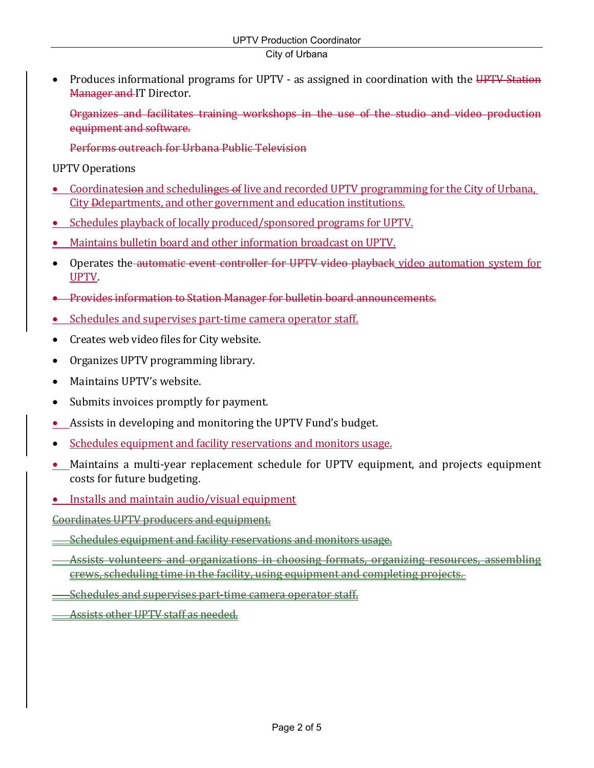# City of Urbana

 Produces informational programs for UPTV - as assigned in coordination with the UPTV Station **Manager and IT Director.** 

Organizes and facilitates training workshops in the use of the studio and video production equipment and software.

Performs outreach for Urbana Public Television

UPTV Operations

- Coordinatesion and schedulinges of live and recorded UPTV programming for the City of Urbana, City Ddepartments, and other government and education institutions.
- Schedules playback of locally produced/sponsored programs for UPTV.
- Maintains bulletin board and other information broadcast on UPTV.
- Operates the automatic event controller for UPTV video playback video automation system for UPTV.
- **•** Provides information to Station Manager for bulletin board announcements.
- Schedules and supervises part-time camera operator staff.
- Creates web video files for City website.
- Organizes UPTV programming library.
- Maintains UPTV's website.
- Submits invoices promptly for payment.
- Assists in developing and monitoring the UPTV Fund's budget.
- Schedules equipment and facility reservations and monitors usage.
- Maintains a multi-year replacement schedule for UPTV equipment, and projects equipment costs for future budgeting.
- Installs and maintain audio/visual equipment

Coordinates UPTV producers and equipment.

- Schedules equipment and facility reservations and monitors usage.
- Assists volunteers and organizations in choosing formats, organizing resources, assembling crews, scheduling time in the facility, using equipment and completing projects.
- Schedules and supervises part-time camera operator staff.
- Assists other UPTV staff as needed.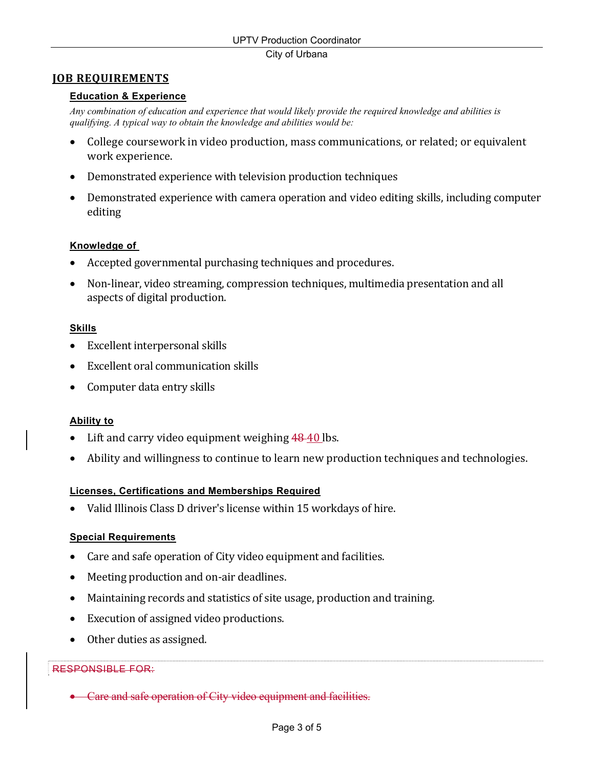# **JOB REQUIREMENTS**

#### **Education & Experience**

*Any combination of education and experience that would likely provide the required knowledge and abilities is qualifying. A typical way to obtain the knowledge and abilities would be:* 

- College coursework in video production, mass communications, or related; or equivalent work experience.
- Demonstrated experience with television production techniques
- Demonstrated experience with camera operation and video editing skills, including computer editing

#### **Knowledge of**

- Accepted governmental purchasing techniques and procedures.
- Non-linear, video streaming, compression techniques, multimedia presentation and all aspects of digital production.

# **Skills**

- Excellent interpersonal skills
- Excellent oral communication skills
- Computer data entry skills

#### **Ability to**

- Lift and carry video equipment weighing 48-40 lbs.
- Ability and willingness to continue to learn new production techniques and technologies.

#### **Licenses, Certifications and Memberships Required**

Valid Illinois Class D driver's license within 15 workdays of hire.

#### **Special Requirements**

- Care and safe operation of City video equipment and facilities.
- Meeting production and on-air deadlines.
- Maintaining records and statistics of site usage, production and training.
- Execution of assigned video productions.
- Other duties as assigned.

#### RESPONSIBLE FOR:

• Care and safe operation of City video equipment and facilities.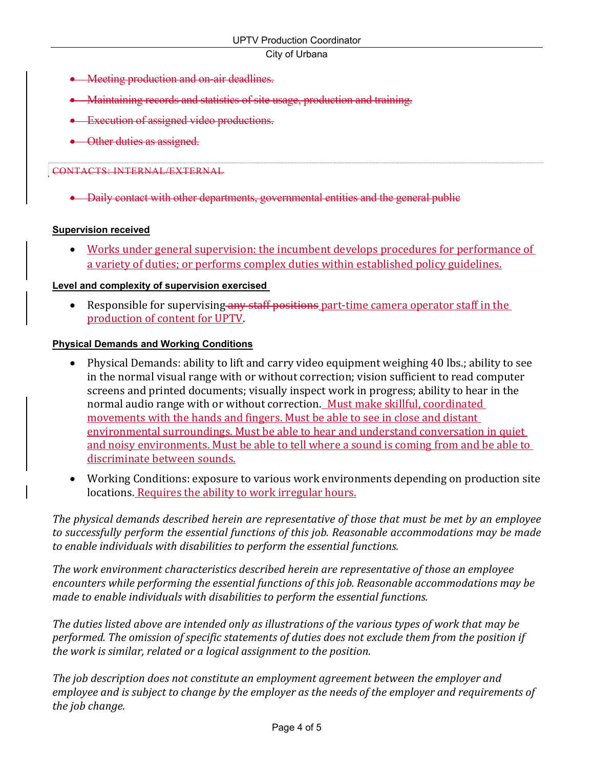#### City of Urbana

- Meeting production and on-air deadlines.
- Maintaining records and statistics of site usage, production and training.
- **Execution of assigned video productions.**
- Other duties as assigned.

# CONTACTS: INTERNAL/EXTERNAL

Daily contact with other departments, governmental entities and the general public

# **Supervision received**

• Works under general supervision: the incumbent develops procedures for performance of a variety of duties; or performs complex duties within established policy guidelines.

# **Level and complexity of supervision exercised**

• Responsible for supervising any staff positions part-time camera operator staff in the production of content for UPTV.

# **Physical Demands and Working Conditions**

- Physical Demands: ability to lift and carry video equipment weighing 40 lbs.; ability to see in the normal visual range with or without correction; vision sufficient to read computer screens and printed documents; visually inspect work in progress; ability to hear in the normal audio range with or without correction. Must make skillful, coordinated movements with the hands and fingers. Must be able to see in close and distant environmental surroundings. Must be able to hear and understand conversation in quiet and noisy environments. Must be able to tell where a sound is coming from and be able to discriminate between sounds.
- Working Conditions: exposure to various work environments depending on production site locations. Requires the ability to work irregular hours.

*The physical demands described herein are representative of those that must be met by an employee to successfully perform the essential functions of this job. Reasonable accommodations may be made to enable individuals with disabilities to perform the essential functions.*

*The work environment characteristics described herein are representative of those an employee encounters while performing the essential functions of this job. Reasonable accommodations may be made to enable individuals with disabilities to perform the essential functions.*

The duties listed above are intended only as illustrations of the various types of work that may be *performed. The omission of specific statements of duties does not exclude them from the position if the work is similar, related or a logical assignment to the position.* 

*The job description does not constitute an employment agreement between the employer and employee and is subject to change by the employer as the needs of the employer and requirements of the job change.*